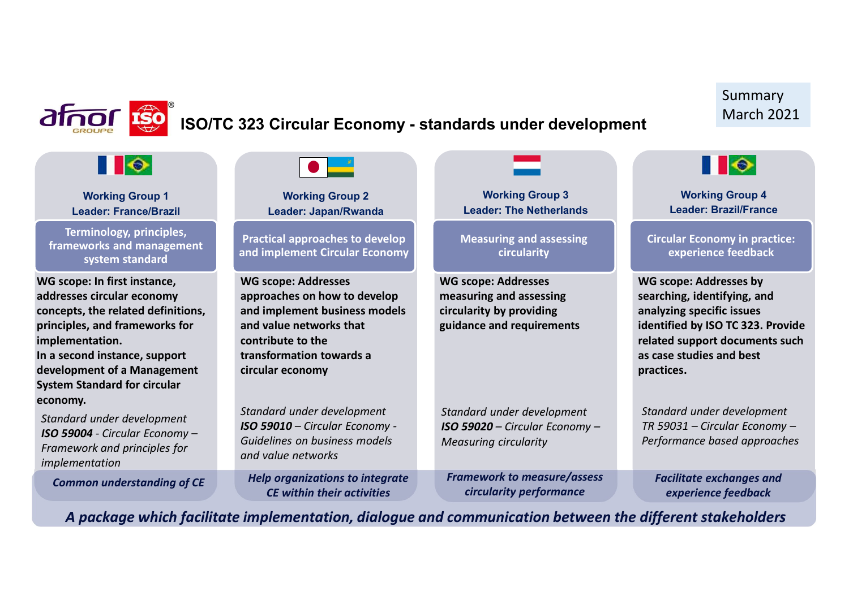|                                                                                                                                                                                                                                                              |                                                                                                                                                                                             |                                                                                                                | Summary                                                                                                                                                                                                    |
|--------------------------------------------------------------------------------------------------------------------------------------------------------------------------------------------------------------------------------------------------------------|---------------------------------------------------------------------------------------------------------------------------------------------------------------------------------------------|----------------------------------------------------------------------------------------------------------------|------------------------------------------------------------------------------------------------------------------------------------------------------------------------------------------------------------|
|                                                                                                                                                                                                                                                              | ISO/TC 323 Circular Economy - standards under development                                                                                                                                   |                                                                                                                | <b>March 2021</b>                                                                                                                                                                                          |
| $\blacksquare$                                                                                                                                                                                                                                               |                                                                                                                                                                                             |                                                                                                                | $\blacksquare$                                                                                                                                                                                             |
| <b>Working Group 1</b><br><b>Leader: France/Brazil</b>                                                                                                                                                                                                       | <b>Working Group 2</b><br>Leader: Japan/Rwanda                                                                                                                                              | <b>Working Group 3</b><br><b>Leader: The Netherlands</b>                                                       | <b>Working Group 4</b><br><b>Leader: Brazil/France</b>                                                                                                                                                     |
| Terminology, principles,<br>frameworks and management<br>system standard                                                                                                                                                                                     | <b>Practical approaches to develop</b><br>and implement Circular Economy                                                                                                                    | <b>Measuring and assessing</b><br>circularity                                                                  | <b>Circular Economy in practice:</b><br>experience feedback                                                                                                                                                |
| WG scope: In first instance,<br>addresses circular economy<br>concepts, the related definitions,<br>principles, and frameworks for<br>implementation.<br>In a second instance, support<br>development of a Management<br><b>System Standard for circular</b> | <b>WG scope: Addresses</b><br>approaches on how to develop<br>and implement business models<br>and value networks that<br>contribute to the<br>transformation towards a<br>circular economy | <b>WG scope: Addresses</b><br>measuring and assessing<br>circularity by providing<br>guidance and requirements | <b>WG scope: Addresses by</b><br>searching, identifying, and<br>analyzing specific issues<br>identified by ISO TC 323. Provide<br>related support documents such<br>as case studies and best<br>practices. |
| economy.<br>Standard under development<br>ISO 59004 - Circular Economy -<br>Framework and principles for<br>implementation                                                                                                                                   | Standard under development<br>ISO 59010 - Circular Economy -<br>Guidelines on business models<br>and value networks                                                                         | Standard under development<br>ISO 59020 - Circular Economy -<br><b>Measuring circularity</b>                   | Standard under development<br>TR 59031 - Circular Economy -<br>Performance based approaches                                                                                                                |
| <b>Common understanding of CE</b>                                                                                                                                                                                                                            | <b>Help organizations to integrate</b><br><b>CE within their activities</b>                                                                                                                 | <b>Framework to measure/assess</b><br>circularity performance                                                  | <b>Facilitate exchanges and</b><br>experience feedback                                                                                                                                                     |

 $\mathsf{s}$  and  $\mathsf{s}$ A package which facilitate implementation, dialogue and communication between the different stakeholders